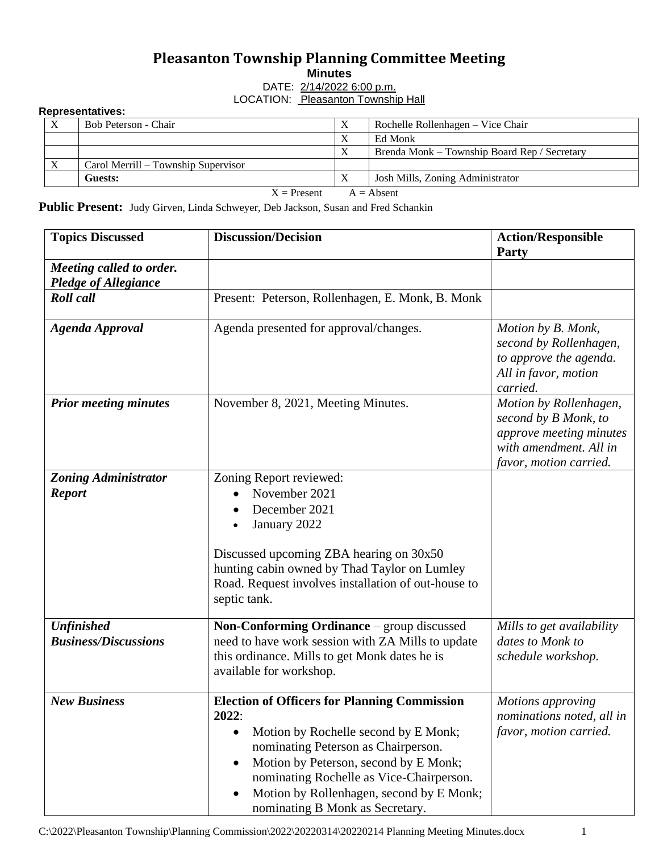## **Pleasanton Township Planning Committee Meeting**

**Minutes**

DATE: 2/14/2022 6:00 p.m. LOCATION: Pleasanton Township Hall

## **Representatives:**

|                               | Bob Peterson - Chair                |  | Rochelle Rollenhagen – Vice Chair            |  |  |
|-------------------------------|-------------------------------------|--|----------------------------------------------|--|--|
|                               |                                     |  | Ed Monk                                      |  |  |
|                               |                                     |  | Brenda Monk – Township Board Rep / Secretary |  |  |
| X                             | Carol Merrill – Township Supervisor |  |                                              |  |  |
|                               | Guests:                             |  | Josh Mills, Zoning Administrator             |  |  |
| $X =$ Present<br>$A = Absent$ |                                     |  |                                              |  |  |

Public Present: Judy Girven, Linda Schweyer, Deb Jackson, Susan and Fred Schankin

| <b>Topics Discussed</b>                                 | <b>Discussion/Decision</b>                                                                                                                                                                                                                                                                                      | <b>Action/Responsible</b><br>Party                                                                                            |
|---------------------------------------------------------|-----------------------------------------------------------------------------------------------------------------------------------------------------------------------------------------------------------------------------------------------------------------------------------------------------------------|-------------------------------------------------------------------------------------------------------------------------------|
| Meeting called to order.<br><b>Pledge of Allegiance</b> |                                                                                                                                                                                                                                                                                                                 |                                                                                                                               |
| <b>Roll</b> call                                        | Present: Peterson, Rollenhagen, E. Monk, B. Monk                                                                                                                                                                                                                                                                |                                                                                                                               |
| <b>Agenda Approval</b>                                  | Agenda presented for approval/changes.                                                                                                                                                                                                                                                                          | Motion by B. Monk,<br>second by Rollenhagen,<br>to approve the agenda.<br>All in favor, motion<br>carried.                    |
| <b>Prior meeting minutes</b>                            | November 8, 2021, Meeting Minutes.                                                                                                                                                                                                                                                                              | Motion by Rollenhagen,<br>second by B Monk, to<br>approve meeting minutes<br>with amendment. All in<br>favor, motion carried. |
| <b>Zoning Administrator</b><br><b>Report</b>            | Zoning Report reviewed:<br>November 2021<br>December 2021<br>January 2022<br>Discussed upcoming ZBA hearing on 30x50<br>hunting cabin owned by Thad Taylor on Lumley<br>Road. Request involves installation of out-house to<br>septic tank.                                                                     |                                                                                                                               |
| <b>Unfinished</b><br><b>Business/Discussions</b>        | Non-Conforming Ordinance - group discussed<br>need to have work session with ZA Mills to update<br>this ordinance. Mills to get Monk dates he is<br>available for workshop.                                                                                                                                     | Mills to get availability<br>dates to Monk to<br>schedule workshop.                                                           |
| <b>New Business</b>                                     | <b>Election of Officers for Planning Commission</b><br>2022:<br>Motion by Rochelle second by E Monk;<br>nominating Peterson as Chairperson.<br>Motion by Peterson, second by E Monk;<br>nominating Rochelle as Vice-Chairperson.<br>Motion by Rollenhagen, second by E Monk;<br>nominating B Monk as Secretary. | Motions approving<br>nominations noted, all in<br>favor, motion carried.                                                      |